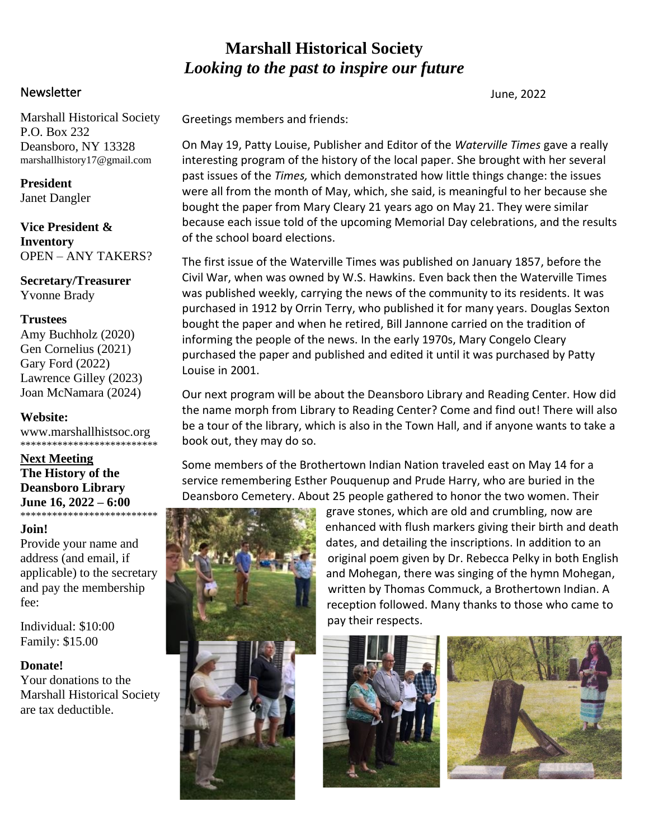# **Marshall Historical Society** *Looking to the past to inspire our future*

June, 2022

Greetings members and friends:

On May 19, Patty Louise, Publisher and Editor of the *Waterville Times* gave a really interesting program of the history of the local paper. She brought with her several past issues of the *Times,* which demonstrated how little things change: the issues were all from the month of May, which, she said, is meaningful to her because she bought the paper from Mary Cleary 21 years ago on May 21. They were similar because each issue told of the upcoming Memorial Day celebrations, and the results of the school board elections.

The first issue of the Waterville Times was published on January 1857, before the Civil War, when was owned by W.S. Hawkins. Even back then the Waterville Times was published weekly, carrying the news of the community to its residents. It was purchased in 1912 by Orrin Terry, who published it for many years. Douglas Sexton bought the paper and when he retired, Bill Jannone carried on the tradition of informing the people of the news. In the early 1970s, Mary Congelo Cleary purchased the paper and published and edited it until it was purchased by Patty Louise in 2001.

Our next program will be about the Deansboro Library and Reading Center. How did the name morph from Library to Reading Center? Come and find out! There will also be a tour of the library, which is also in the Town Hall, and if anyone wants to take a book out, they may do so.

Some members of the Brothertown Indian Nation traveled east on May 14 for a service remembering Esther Pouquenup and Prude Harry, who are buried in the Deansboro Cemetery. About 25 people gathered to honor the two women. Their



grave stones, which are old and crumbling, now are enhanced with flush markers giving their birth and death dates, and detailing the inscriptions. In addition to an original poem given by Dr. Rebecca Pelky in both English and Mohegan, there was singing of the hymn Mohegan, written by Thomas Commuck, a Brothertown Indian. A reception followed. Many thanks to those who came to pay pay their respects.





# Newsletter

Marshall Historical Society P.O. Box 232 Deansboro, NY 13328 marshallhistory17@gmail.com

**President** Janet Dangler

**Vice President & Inventory** OPEN – ANY TAKERS?

**Secretary/Treasurer** Yvonne Brady

#### **Trustees**

Amy Buchholz (2020) Gen Cornelius (2021) Gary Ford (2022) Lawrence Gilley (2023) Joan McNamara (2024)

#### **Website:**

www.marshallhistsoc.org \*\*\*\*\*\*\*\*\*\*\*\*\*\*\*\*\*\*\*\*\*\*\*\*\*\*

**Next Meeting The History of the Deansboro Library June 16, 2022 – 6:00** \*\*\*\*\*\*\*\*\*\*\*\*\*\*\*\*\*\*\*\*\*\*\*\*\*\*

# **Join!**

Provide your name and address (and email, if applicable) to the secretary and pay the membership fee:

Individual: \$10:00 Family: \$15.00

# **Donate!**

Your donations to the Marshall Historical Society are tax deductible.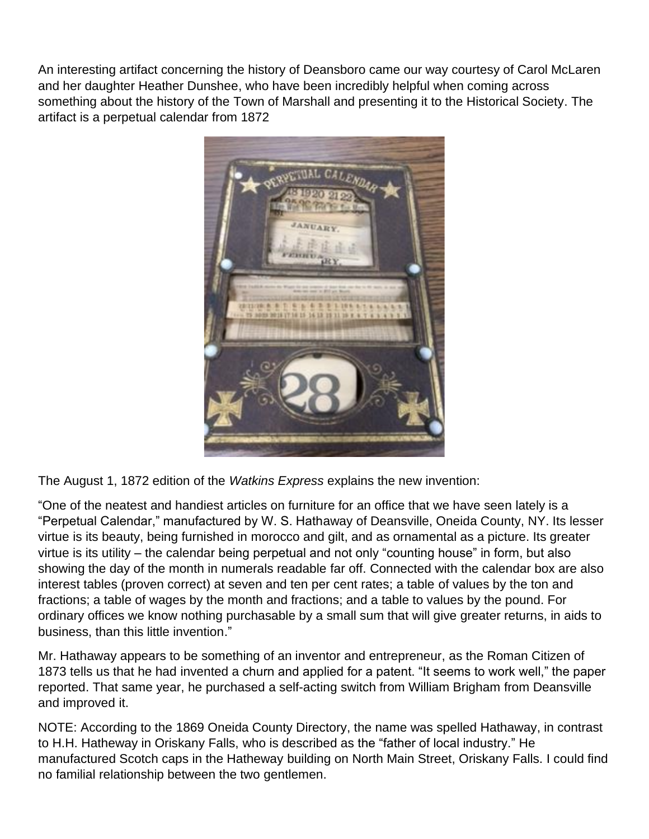An interesting artifact concerning the history of Deansboro came our way courtesy of Carol McLaren and her daughter Heather Dunshee, who have been incredibly helpful when coming across something about the history of the Town of Marshall and presenting it to the Historical Society. The artifact is a perpetual calendar from 1872



The August 1, 1872 edition of the *Watkins Express* explains the new invention:

"One of the neatest and handiest articles on furniture for an office that we have seen lately is a "Perpetual Calendar," manufactured by W. S. Hathaway of Deansville, Oneida County, NY. Its lesser virtue is its beauty, being furnished in morocco and gilt, and as ornamental as a picture. Its greater virtue is its utility – the calendar being perpetual and not only "counting house" in form, but also showing the day of the month in numerals readable far off. Connected with the calendar box are also interest tables (proven correct) at seven and ten per cent rates; a table of values by the ton and fractions; a table of wages by the month and fractions; and a table to values by the pound. For ordinary offices we know nothing purchasable by a small sum that will give greater returns, in aids to business, than this little invention."

Mr. Hathaway appears to be something of an inventor and entrepreneur, as the Roman Citizen of 1873 tells us that he had invented a churn and applied for a patent. "It seems to work well," the paper reported. That same year, he purchased a self-acting switch from William Brigham from Deansville and improved it.

NOTE: According to the 1869 Oneida County Directory, the name was spelled Hathaway, in contrast to H.H. Hatheway in Oriskany Falls, who is described as the "father of local industry." He manufactured Scotch caps in the Hatheway building on North Main Street, Oriskany Falls. I could find no familial relationship between the two gentlemen.